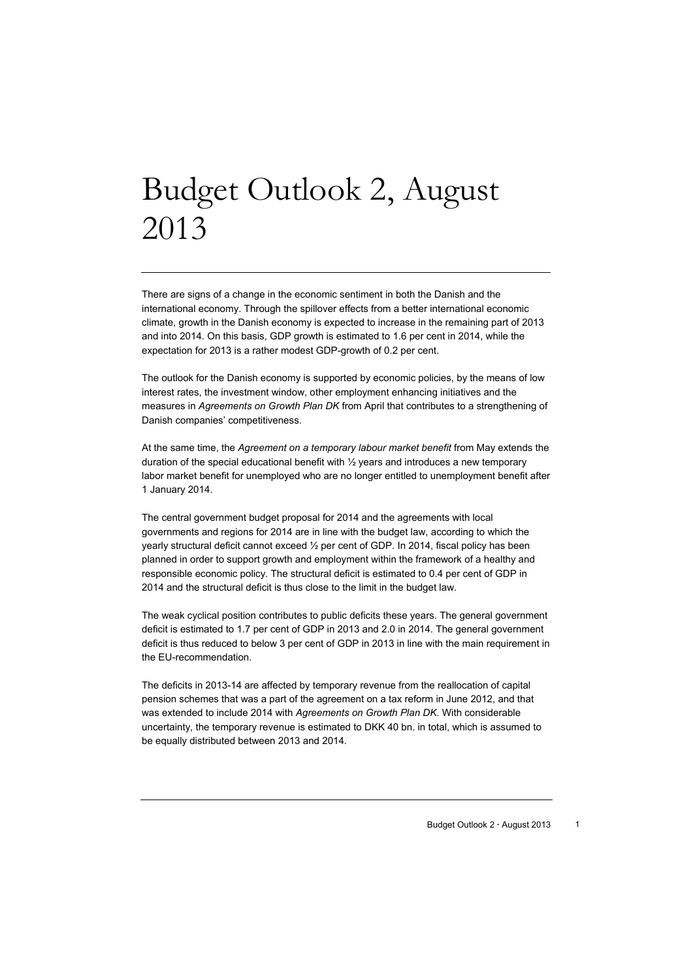# Budget Outlook 2, August 2013

There are signs of a change in the economic sentiment in both the Danish and the international economy. Through the spillover effects from a better international economic climate, growth in the Danish economy is expected to increase in the remaining part of 2013 and into 2014. On this basis, GDP growth is estimated to 1.6 per cent in 2014, while the expectation for 2013 is a rather modest GDP-growth of 0.2 per cent.

The outlook for the Danish economy is supported by economic policies, by the means of low interest rates, the investment window, other employment enhancing initiatives and the measures in *Agreements on Growth Plan DK* from April that contributes to a strengthening of Danish companies' competitiveness.

At the same time, the *Agreement on a temporary labour market benefit* from May extends the duration of the special educational benefit with  $\frac{1}{2}$  years and introduces a new temporary labor market benefit for unemployed who are no longer entitled to unemployment benefit after 1 January 2014.

The central government budget proposal for 2014 and the agreements with local governments and regions for 2014 are in line with the budget law, according to which the yearly structural deficit cannot exceed ½ per cent of GDP. In 2014, fiscal policy has been planned in order to support growth and employment within the framework of a healthy and responsible economic policy. The structural deficit is estimated to 0.4 per cent of GDP in 2014 and the structural deficit is thus close to the limit in the budget law.

The weak cyclical position contributes to public deficits these years. The general government deficit is estimated to 1.7 per cent of GDP in 2013 and 2.0 in 2014. The general government deficit is thus reduced to below 3 per cent of GDP in 2013 in line with the main requirement in the EU-recommendation.

The deficits in 2013-14 are affected by temporary revenue from the reallocation of capital pension schemes that was a part of the agreement on a tax reform in June 2012, and that was extended to include 2014 with *Agreements on Growth Plan DK*. With considerable uncertainty, the temporary revenue is estimated to DKK 40 bn. in total, which is assumed to be equally distributed between 2013 and 2014.

Budget Outlook 2 · August 2013 1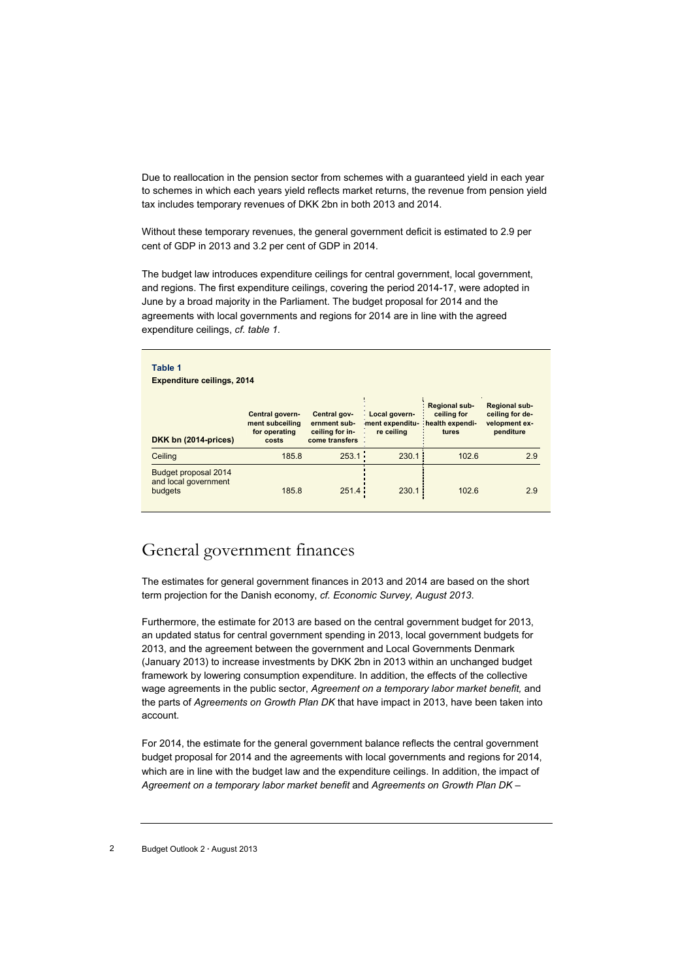Due to reallocation in the pension sector from schemes with a guaranteed yield in each year to schemes in which each years yield reflects market returns, the revenue from pension yield tax includes temporary revenues of DKK 2bn in both 2013 and 2014.

Without these temporary revenues, the general government deficit is estimated to 2.9 per cent of GDP in 2013 and 3.2 per cent of GDP in 2014.

The budget law introduces expenditure ceilings for central government, local government, and regions. The first expenditure ceilings, covering the period 2014-17, were adopted in June by a broad majority in the Parliament. The budget proposal for 2014 and the agreements with local governments and regions for 2014 are in line with the agreed expenditure ceilings, *cf. table 1.*

| Table 1<br><b>Expenditure ceilings, 2014</b>            | Central govern-                           | Central gov-                                      | Local govern                                 | Regional sub-<br>ceiling for | Regional sub-<br>ceiling for de- |
|---------------------------------------------------------|-------------------------------------------|---------------------------------------------------|----------------------------------------------|------------------------------|----------------------------------|
| DKK bn (2014-prices)                                    | ment subceiling<br>for operating<br>costs | ernment sub-<br>ceiling for in-<br>come transfers | ment expenditu health expendi-<br>re ceiling | tures                        | velopment ex-<br>penditure       |
| Ceiling                                                 | 185.8                                     | 253.1                                             | 230.1                                        | 102.6                        | 2.9                              |
| Budget proposal 2014<br>and local government<br>budgets | 185.8                                     | 251.4                                             | 230.1                                        | 102.6                        | 2.9                              |

## General government finances

The estimates for general government finances in 2013 and 2014 are based on the short term projection for the Danish economy, *cf. Economic Survey, August 2013*.

Furthermore, the estimate for 2013 are based on the central government budget for 2013, an updated status for central government spending in 2013, local government budgets for 2013, and the agreement between the government and Local Governments Denmark (January 2013) to increase investments by DKK 2bn in 2013 within an unchanged budget framework by lowering consumption expenditure. In addition, the effects of the collective wage agreements in the public sector, *Agreement on a temporary labor market benefit,* and the parts of *Agreements on Growth Plan DK* that have impact in 2013, have been taken into account.

For 2014, the estimate for the general government balance reflects the central government budget proposal for 2014 and the agreements with local governments and regions for 2014, which are in line with the budget law and the expenditure ceilings. In addition, the impact of *Agreement on a temporary labor market benefit* and *Agreements on Growth Plan DK –*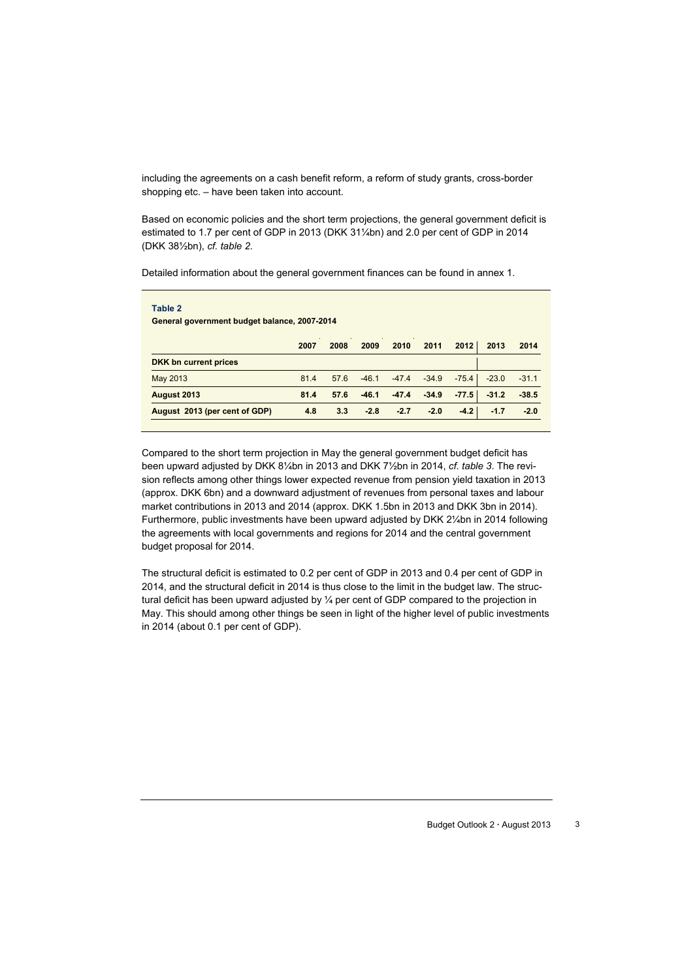including the agreements on a cash benefit reform, a reform of study grants, cross-border shopping etc. – have been taken into account.

Based on economic policies and the short term projections, the general government deficit is estimated to 1.7 per cent of GDP in 2013 (DKK 31¼bn) and 2.0 per cent of GDP in 2014 (DKK 38½bn), *cf. table 2*.

Detailed information about the general government finances can be found in annex 1.

| Table 2<br>General government budget balance, 2007-2014 |      |      |         |         |               |         |         |         |  |
|---------------------------------------------------------|------|------|---------|---------|---------------|---------|---------|---------|--|
|                                                         | 2007 | 2008 | 2009    | 2010    | 2011          | 2012    | 2013    | 2014    |  |
| DKK bn current prices                                   |      |      |         |         |               |         |         |         |  |
| May 2013                                                | 81.4 | 57.6 | $-46.1$ |         | $-47.4 -34.9$ | $-75.4$ | $-23.0$ | $-31.1$ |  |
| August 2013                                             | 81.4 | 57.6 | $-46.1$ | $-47.4$ | $-34.9$       | $-77.5$ | $-31.2$ | $-38.5$ |  |
| August 2013 (per cent of GDP)                           | 4.8  | 3.3  | $-2.8$  | $-2.7$  | $-2.0$        | $-4.2$  | $-1.7$  | $-2.0$  |  |

Compared to the short term projection in May the general government budget deficit has been upward adjusted by DKK 8¼bn in 2013 and DKK 7½bn in 2014, *cf. table 3*. The revision reflects among other things lower expected revenue from pension yield taxation in 2013 (approx. DKK 6bn) and a downward adjustment of revenues from personal taxes and labour market contributions in 2013 and 2014 (approx. DKK 1.5bn in 2013 and DKK 3bn in 2014). Furthermore, public investments have been upward adjusted by DKK 2¼bn in 2014 following the agreements with local governments and regions for 2014 and the central government budget proposal for 2014.

The structural deficit is estimated to 0.2 per cent of GDP in 2013 and 0.4 per cent of GDP in 2014, and the structural deficit in 2014 is thus close to the limit in the budget law. The structural deficit has been upward adjusted by  $\frac{1}{4}$  per cent of GDP compared to the projection in May. This should among other things be seen in light of the higher level of public investments in 2014 (about 0.1 per cent of GDP).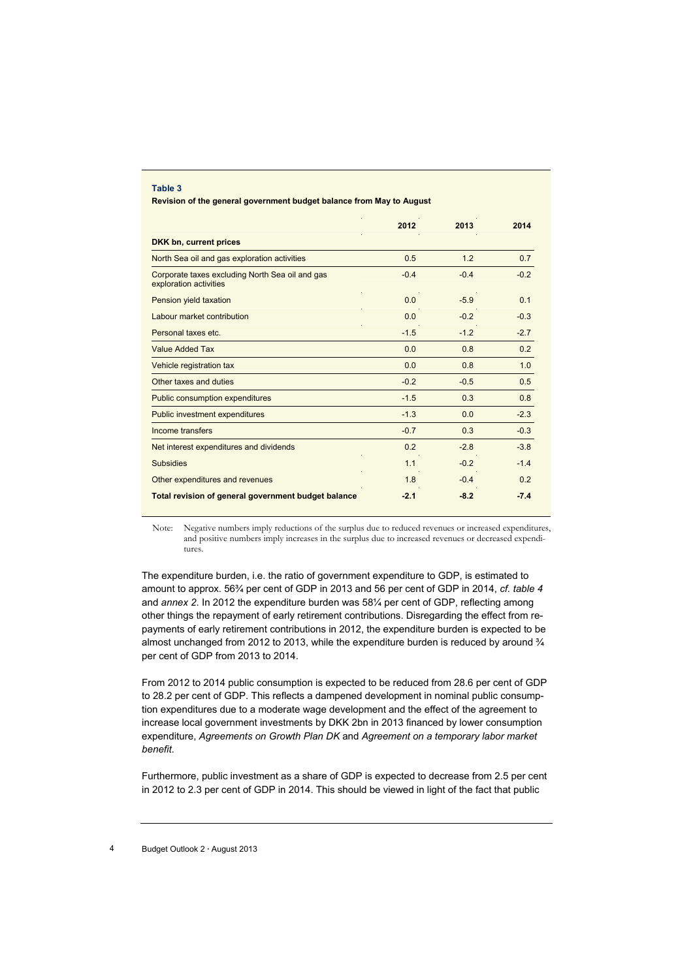#### **Table 3**

**Revision of the general government budget balance from May to August** 

|                                                                           | 2012           | 2013   | 2014           |
|---------------------------------------------------------------------------|----------------|--------|----------------|
| DKK bn, current prices                                                    |                |        |                |
| North Sea oil and gas exploration activities                              | 0.5            | 1.2    | 0.7            |
| Corporate taxes excluding North Sea oil and gas<br>exploration activities | $-0.4$         | $-0.4$ | $-0.2$         |
| Pension yield taxation                                                    | 0.0            | $-5.9$ | 0 <sub>1</sub> |
| Labour market contribution                                                | 0.0            | $-0.2$ | $-0.3$         |
| Personal taxes etc.                                                       | $-1.5$         | $-1.2$ | $-2.7$         |
| <b>Value Added Tax</b>                                                    | 0.0            | 0.8    | 0.2            |
| Vehicle registration tax                                                  | 0.0            | 0.8    | 1.0            |
| Other taxes and duties                                                    | $-0.2$         | $-0.5$ | 0.5            |
| <b>Public consumption expenditures</b>                                    | $-1.5$         | 0.3    | 0.8            |
| <b>Public investment expenditures</b>                                     | $-1.3$         | 0.0    | $-2.3$         |
| Income transfers                                                          | $-0.7$         | 0.3    | $-0.3$         |
| Net interest expenditures and dividends                                   | 0 <sub>2</sub> | $-28$  | $-38$          |
| <b>Subsidies</b>                                                          | 1.1            | $-0.2$ | $-14$          |
| Other expenditures and revenues                                           | 1.8            | $-0.4$ | 0.2            |
| <b>Total revision of general government budget balance</b>                | $-2.1$         | $-8.2$ | $-7.4$         |

Note: Negative numbers imply reductions of the surplus due to reduced revenues or increased expenditures, and positive numbers imply increases in the surplus due to increased revenues or decreased expenditures.

The expenditure burden, i.e. the ratio of government expenditure to GDP, is estimated to amount to approx. 56¾ per cent of GDP in 2013 and 56 per cent of GDP in 2014, *cf. table 4*  and *annex 2*. In 2012 the expenditure burden was 58¼ per cent of GDP, reflecting among other things the repayment of early retirement contributions. Disregarding the effect from repayments of early retirement contributions in 2012, the expenditure burden is expected to be almost unchanged from 2012 to 2013, while the expenditure burden is reduced by around  $\frac{3}{4}$ per cent of GDP from 2013 to 2014.

From 2012 to 2014 public consumption is expected to be reduced from 28.6 per cent of GDP to 28.2 per cent of GDP. This reflects a dampened development in nominal public consumption expenditures due to a moderate wage development and the effect of the agreement to increase local government investments by DKK 2bn in 2013 financed by lower consumption expenditure, *Agreements on Growth Plan DK* and *Agreement on a temporary labor market benefit*.

Furthermore, public investment as a share of GDP is expected to decrease from 2.5 per cent in 2012 to 2.3 per cent of GDP in 2014. This should be viewed in light of the fact that public

#### 4 Budget Outlook 2 **·** August 2013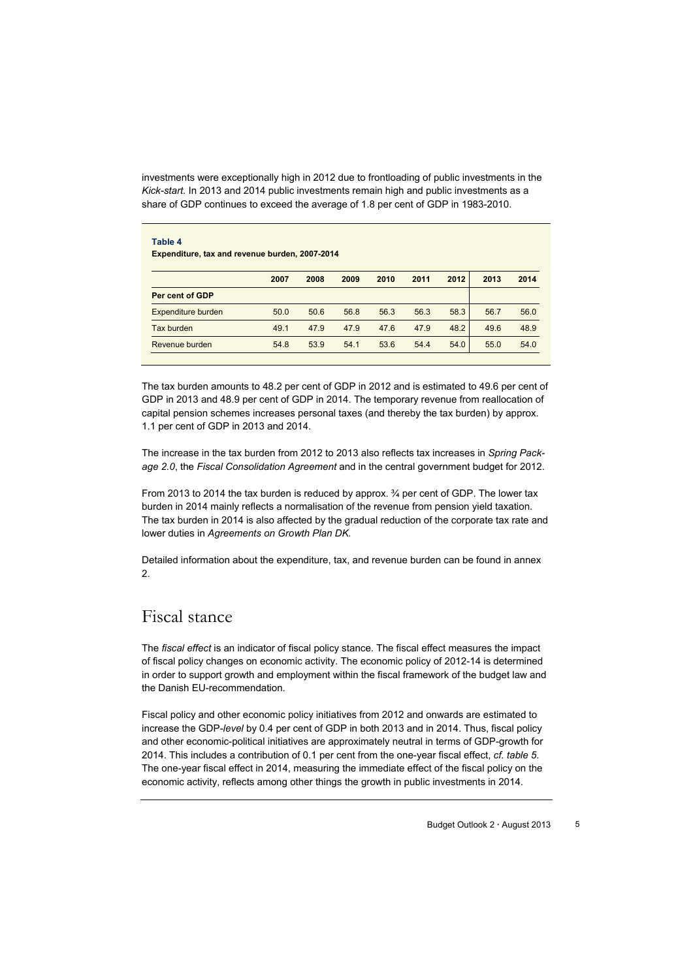investments were exceptionally high in 2012 due to frontloading of public investments in the *Kick-start.* In 2013 and 2014 public investments remain high and public investments as a share of GDP continues to exceed the average of 1.8 per cent of GDP in 1983-2010.

|                    | 2007 | 2008 | 2009 | 2010 | 2011 | 2012 | 2013 | 2014 |
|--------------------|------|------|------|------|------|------|------|------|
| Per cent of GDP    | a.   |      |      |      |      |      |      |      |
| Expenditure burden | 50.0 | 50.6 | 56.8 | 56.3 | 56.3 | 58.3 | 56.7 | 56.0 |
| Tax burden         | 49.1 | 47.9 | 47.9 | 47.6 | 47.9 | 48.2 | 49.6 | 48.9 |
| Revenue burden     | 54.8 | 53.9 | 54.1 | 53.6 | 54.4 | 54.0 | 55.0 | 54.0 |

The tax burden amounts to 48.2 per cent of GDP in 2012 and is estimated to 49.6 per cent of GDP in 2013 and 48.9 per cent of GDP in 2014. The temporary revenue from reallocation of capital pension schemes increases personal taxes (and thereby the tax burden) by approx. 1.1 per cent of GDP in 2013 and 2014.

The increase in the tax burden from 2012 to 2013 also reflects tax increases in *Spring Package 2.0*, the *Fiscal Consolidation Agreement* and in the central government budget for 2012.

From 2013 to 2014 the tax burden is reduced by approx. ¾ per cent of GDP. The lower tax burden in 2014 mainly reflects a normalisation of the revenue from pension yield taxation. The tax burden in 2014 is also affected by the gradual reduction of the corporate tax rate and lower duties in *Agreements on Growth Plan DK.*

Detailed information about the expenditure, tax, and revenue burden can be found in annex 2.

### Fiscal stance

The *fiscal effect* is an indicator of fiscal policy stance. The fiscal effect measures the impact of fiscal policy changes on economic activity. The economic policy of 2012-14 is determined in order to support growth and employment within the fiscal framework of the budget law and the Danish EU-recommendation.

Fiscal policy and other economic policy initiatives from 2012 and onwards are estimated to increase the GDP-*level* by 0.4 per cent of GDP in both 2013 and in 2014. Thus, fiscal policy and other economic-political initiatives are approximately neutral in terms of GDP-growth for 2014. This includes a contribution of 0.1 per cent from the one-year fiscal effect, *cf. table 5*. The one-year fiscal effect in 2014, measuring the immediate effect of the fiscal policy on the economic activity, reflects among other things the growth in public investments in 2014.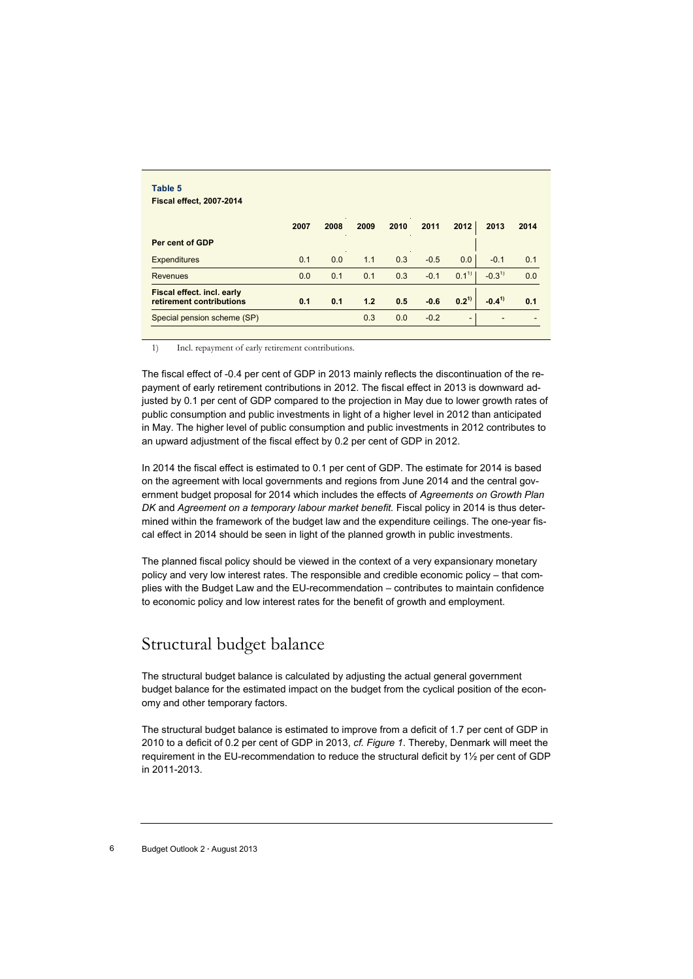| Table 5                                                |      |                       |                 |      |        |                          |            |      |
|--------------------------------------------------------|------|-----------------------|-----------------|------|--------|--------------------------|------------|------|
| <b>Fiscal effect, 2007-2014</b>                        |      |                       |                 |      |        |                          |            |      |
|                                                        | 2007 | 2008<br>$\Delta \tau$ | 2009            | 2010 | 2011   | 2012                     | 2013       | 2014 |
| Per cent of GDP                                        |      |                       | <b>Contract</b> |      |        |                          |            |      |
| <b>Expenditures</b>                                    | 0.1  | 0.0                   | 1.1             | 0.3  | $-0.5$ | 0.0                      | $-0.1$     | 0.1  |
| <b>Revenues</b>                                        | 0.0  | 0.1                   | 0.1             | 0.3  | $-0.1$ | $0.1^{1}$                | $-0.3^{1}$ | 0.0  |
| Fiscal effect. incl. early<br>retirement contributions | 0.1  | 0.1                   | 1.2             | 0.5  | $-0.6$ | $0.2^{1}$                | $-0.4^{1}$ | 0.1  |
| Special pension scheme (SP)                            |      |                       | 0.3             | 0.0  | $-0.2$ | $\overline{\phantom{a}}$ |            |      |

1) Incl. repayment of early retirement contributions.

The fiscal effect of -0.4 per cent of GDP in 2013 mainly reflects the discontinuation of the repayment of early retirement contributions in 2012. The fiscal effect in 2013 is downward adjusted by 0.1 per cent of GDP compared to the projection in May due to lower growth rates of public consumption and public investments in light of a higher level in 2012 than anticipated in May. The higher level of public consumption and public investments in 2012 contributes to an upward adjustment of the fiscal effect by 0.2 per cent of GDP in 2012.

In 2014 the fiscal effect is estimated to 0.1 per cent of GDP. The estimate for 2014 is based on the agreement with local governments and regions from June 2014 and the central government budget proposal for 2014 which includes the effects of *Agreements on Growth Plan DK* and *Agreement on a temporary labour market benefit.* Fiscal policy in 2014 is thus determined within the framework of the budget law and the expenditure ceilings. The one-year fiscal effect in 2014 should be seen in light of the planned growth in public investments.

The planned fiscal policy should be viewed in the context of a very expansionary monetary policy and very low interest rates. The responsible and credible economic policy – that complies with the Budget Law and the EU-recommendation – contributes to maintain confidence to economic policy and low interest rates for the benefit of growth and employment.

### Structural budget balance

The structural budget balance is calculated by adjusting the actual general government budget balance for the estimated impact on the budget from the cyclical position of the economy and other temporary factors.

The structural budget balance is estimated to improve from a deficit of 1.7 per cent of GDP in 2010 to a deficit of 0.2 per cent of GDP in 2013, *cf. Figure 1*. Thereby, Denmark will meet the requirement in the EU-recommendation to reduce the structural deficit by 1½ per cent of GDP in 2011-2013.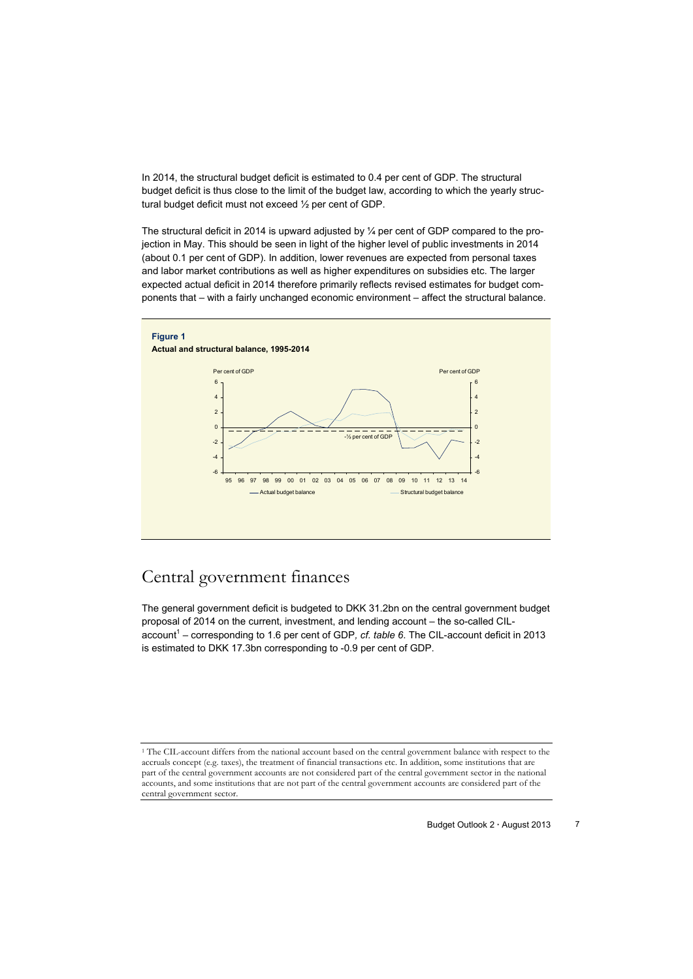In 2014, the structural budget deficit is estimated to 0.4 per cent of GDP. The structural budget deficit is thus close to the limit of the budget law, according to which the yearly structural budget deficit must not exceed ½ per cent of GDP.

The structural deficit in 2014 is upward adjusted by ¼ per cent of GDP compared to the projection in May. This should be seen in light of the higher level of public investments in 2014 (about 0.1 per cent of GDP). In addition, lower revenues are expected from personal taxes and labor market contributions as well as higher expenditures on subsidies etc. The larger expected actual deficit in 2014 therefore primarily reflects revised estimates for budget components that – with a fairly unchanged economic environment – affect the structural balance.



# Central government finances

The general government deficit is budgeted to DKK 31.2bn on the central government budget proposal of 2014 on the current, investment, and lending account – the so-called CILaccount<sup>1</sup> – corresponding to 1.6 per cent of GDP, cf. table 6. The CIL-account deficit in 2013 is estimated to DKK 17.3bn corresponding to -0.9 per cent of GDP.

<sup>1</sup> The CIL-account differs from the national account based on the central government balance with respect to the accruals concept (e.g. taxes), the treatment of financial transactions etc. In addition, some institutions that are part of the central government accounts are not considered part of the central government sector in the national accounts, and some institutions that are not part of the central government accounts are considered part of the central government sector.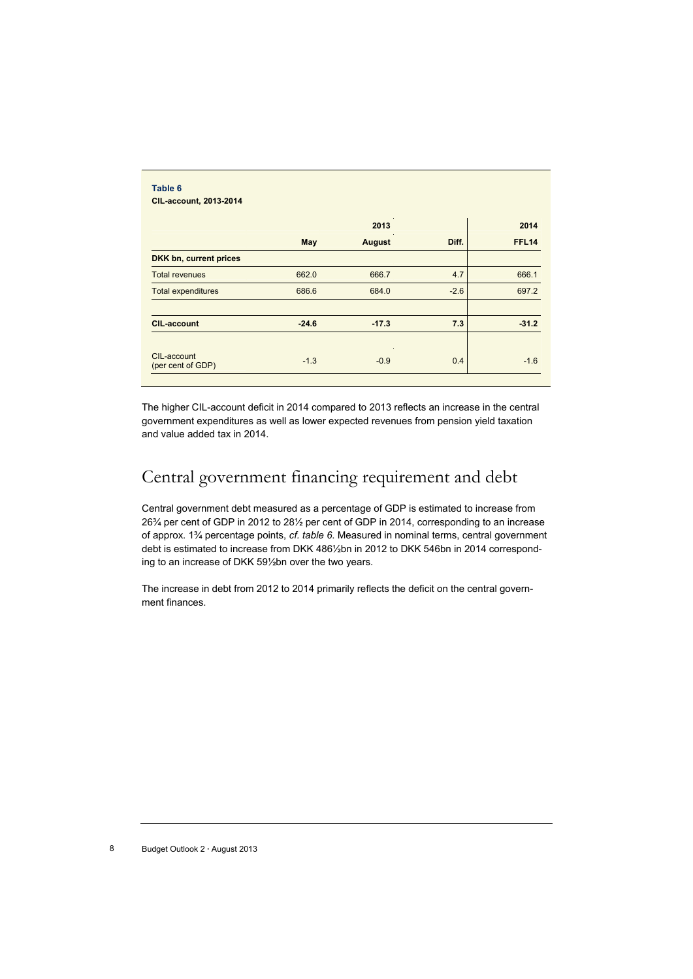|                           |         | 2013          |        | 2014         |
|---------------------------|---------|---------------|--------|--------------|
|                           | May     | <b>August</b> | Diff.  | <b>FFL14</b> |
| DKK bn, current prices    |         |               |        |              |
| <b>Total revenues</b>     | 662.0   | 666.7         | 4.7    | 666.1        |
| <b>Total expenditures</b> | 686.6   | 684.0         | $-2.6$ | 697.2        |
| <b>CIL-account</b>        | $-24.6$ | $-17.3$       | 7.3    | $-31.2$      |

The higher CIL-account deficit in 2014 compared to 2013 reflects an increase in the central government expenditures as well as lower expected revenues from pension yield taxation and value added tax in 2014.

# Central government financing requirement and debt

Central government debt measured as a percentage of GDP is estimated to increase from 26¾ per cent of GDP in 2012 to 28½ per cent of GDP in 2014, corresponding to an increase of approx. 1¾ percentage points, *cf. table 6*. Measured in nominal terms, central government debt is estimated to increase from DKK 486½bn in 2012 to DKK 546bn in 2014 corresponding to an increase of DKK 59½bn over the two years.

The increase in debt from 2012 to 2014 primarily reflects the deficit on the central government finances.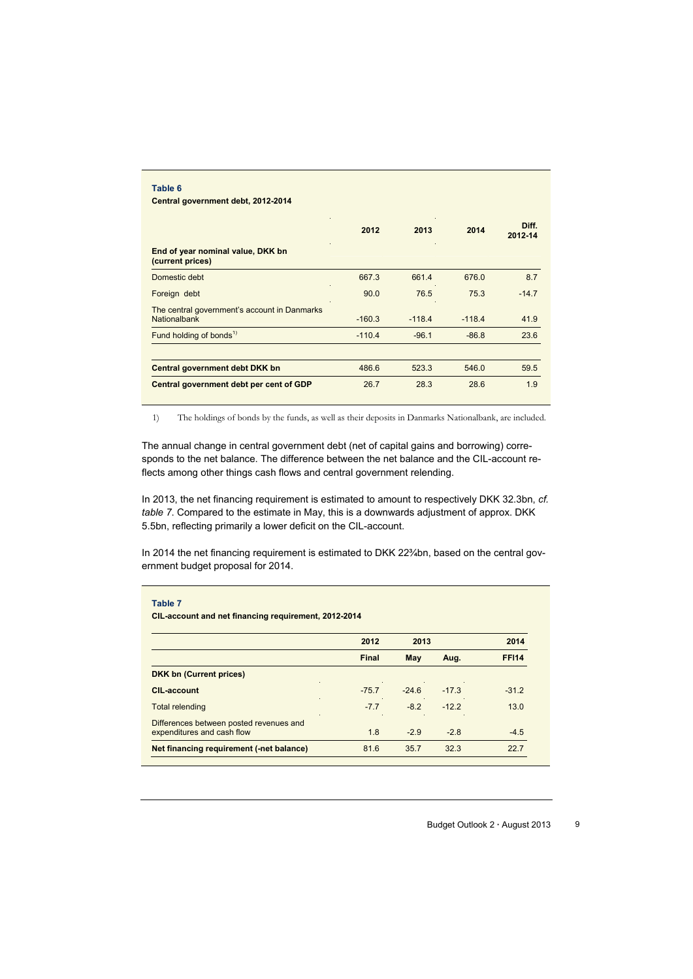| Table 6<br>Central government debt, 2012-2014                |          |          |          |                  |  |  |  |  |
|--------------------------------------------------------------|----------|----------|----------|------------------|--|--|--|--|
|                                                              | 2012     | 2013     | 2014     | Diff.<br>2012-14 |  |  |  |  |
| End of year nominal value, DKK bn<br>(current prices)        |          |          |          |                  |  |  |  |  |
| Domestic debt                                                | 667.3    | 661.4    | 676.0    | 8.7              |  |  |  |  |
| Foreign debt                                                 | 90.0     | 76.5     | 75.3     | $-14.7$          |  |  |  |  |
| The central government's account in Danmarks<br>Nationalbank | $-160.3$ | $-118.4$ | $-118.4$ | 41.9             |  |  |  |  |
| Fund holding of bonds <sup>1)</sup>                          | $-110.4$ | $-96.1$  | $-86.8$  | 23.6             |  |  |  |  |
| Central government debt DKK bn                               | 486.6    | 523.3    | 546.0    | 59.5             |  |  |  |  |
| Central government debt per cent of GDP                      | 26.7     | 28.3     | 28.6     | 1.9              |  |  |  |  |

1) The holdings of bonds by the funds, as well as their deposits in Danmarks Nationalbank, are included.

The annual change in central government debt (net of capital gains and borrowing) corresponds to the net balance. The difference between the net balance and the CIL-account reflects among other things cash flows and central government relending.

In 2013, the net financing requirement is estimated to amount to respectively DKK 32.3bn, *cf. table 7*. Compared to the estimate in May, this is a downwards adjustment of approx. DKK 5.5bn, reflecting primarily a lower deficit on the CIL-account.

In 2014 the net financing requirement is estimated to DKK 22%bn, based on the central government budget proposal for 2014.

| Table 7                                                               |         |         |         |              |
|-----------------------------------------------------------------------|---------|---------|---------|--------------|
| CIL-account and net financing requirement, 2012-2014                  |         |         |         |              |
|                                                                       | 2012    | 2013    |         | 2014         |
|                                                                       | Final   | May     | Aug.    | <b>FF114</b> |
| <b>DKK bn (Current prices)</b>                                        |         |         |         |              |
| <b>CIL-account</b>                                                    | $-75.7$ | $-24.6$ | $-17.3$ | $-31.2$      |
| <b>Total relending</b>                                                | $-7.7$  | $-8.2$  | $-12.2$ | 13.0         |
| Differences between posted revenues and<br>expenditures and cash flow | 1.8     | $-2.9$  | $-2.8$  | $-4.5$       |
| Net financing requirement (-net balance)                              | 81.6    | 35.7    | 32.3    | 227          |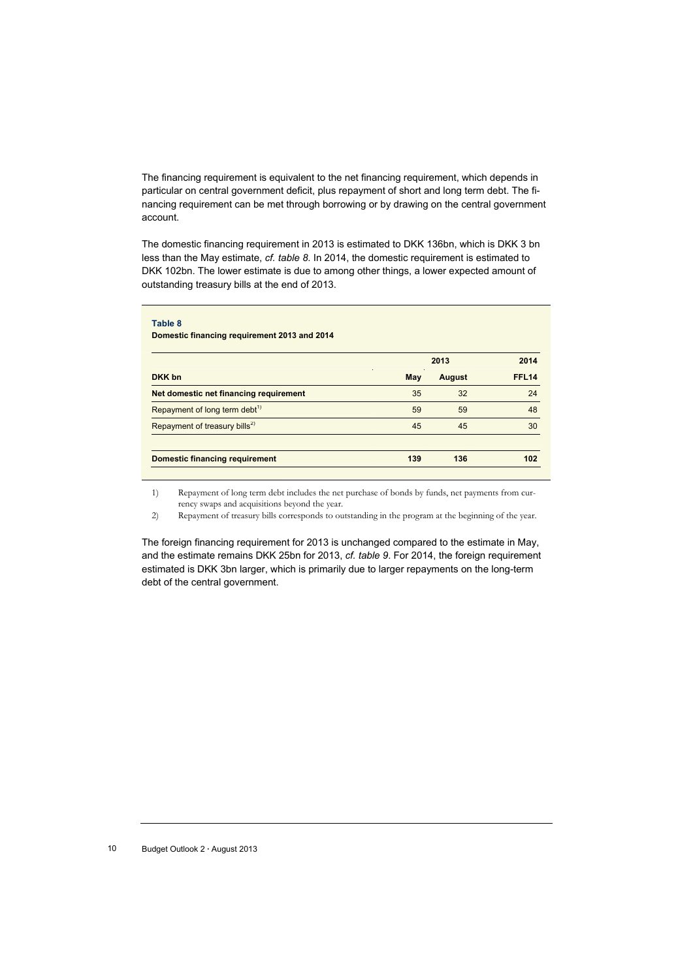The financing requirement is equivalent to the net financing requirement, which depends in particular on central government deficit, plus repayment of short and long term debt. The financing requirement can be met through borrowing or by drawing on the central government account.

The domestic financing requirement in 2013 is estimated to DKK 136bn, which is DKK 3 bn less than the May estimate, *cf. table 8*. In 2014, the domestic requirement is estimated to DKK 102bn. The lower estimate is due to among other things, a lower expected amount of outstanding treasury bills at the end of 2013.

| Table 8<br>Domestic financing requirement 2013 and 2014 |     |               |              |  |  |
|---------------------------------------------------------|-----|---------------|--------------|--|--|
|                                                         |     | 2013          |              |  |  |
| DKK bn                                                  | May | <b>August</b> | <b>FFL14</b> |  |  |
| Net domestic net financing requirement                  | 35  | 32            | 24           |  |  |
| Repayment of long term debt <sup>1)</sup>               | 59  | 59            | 48           |  |  |
| Repayment of treasury bills <sup>2)</sup>               | 45  | 45            | 30           |  |  |
| <b>Domestic financing requirement</b>                   | 139 | 136           | 102          |  |  |

1) Repayment of long term debt includes the net purchase of bonds by funds, net payments from currency swaps and acquisitions beyond the year.

2) Repayment of treasury bills corresponds to outstanding in the program at the beginning of the year.

The foreign financing requirement for 2013 is unchanged compared to the estimate in May, and the estimate remains DKK 25bn for 2013, *cf. table 9*. For 2014, the foreign requirement estimated is DKK 3bn larger, which is primarily due to larger repayments on the long-term debt of the central government.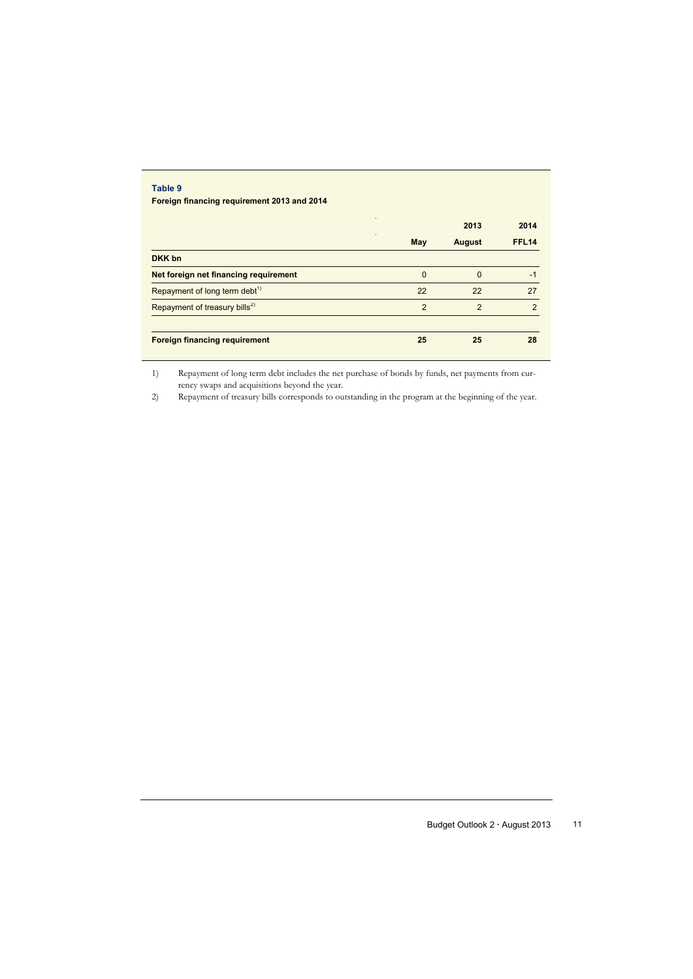#### **Table 9**

**Foreign financing requirement 2013 and 2014** 

|                                           |          | 2013          | 2014          |
|-------------------------------------------|----------|---------------|---------------|
|                                           | May      | <b>August</b> | <b>FFL14</b>  |
| DKK bn                                    |          |               |               |
| Net foreign net financing requirement     | $\Omega$ | $\Omega$      | $-1$          |
| Repayment of long term debt <sup>1)</sup> | 22       | 22            | 27            |
| Repayment of treasury bills <sup>2)</sup> | 2        | $\mathcal{P}$ | $\mathcal{P}$ |
| <b>Foreign financing requirement</b>      | 25       | 25            | 28            |

1) Repayment of long term debt includes the net purchase of bonds by funds, net payments from currency swaps and acquisitions beyond the year.

2) Repayment of treasury bills corresponds to outstanding in the program at the beginning of the year.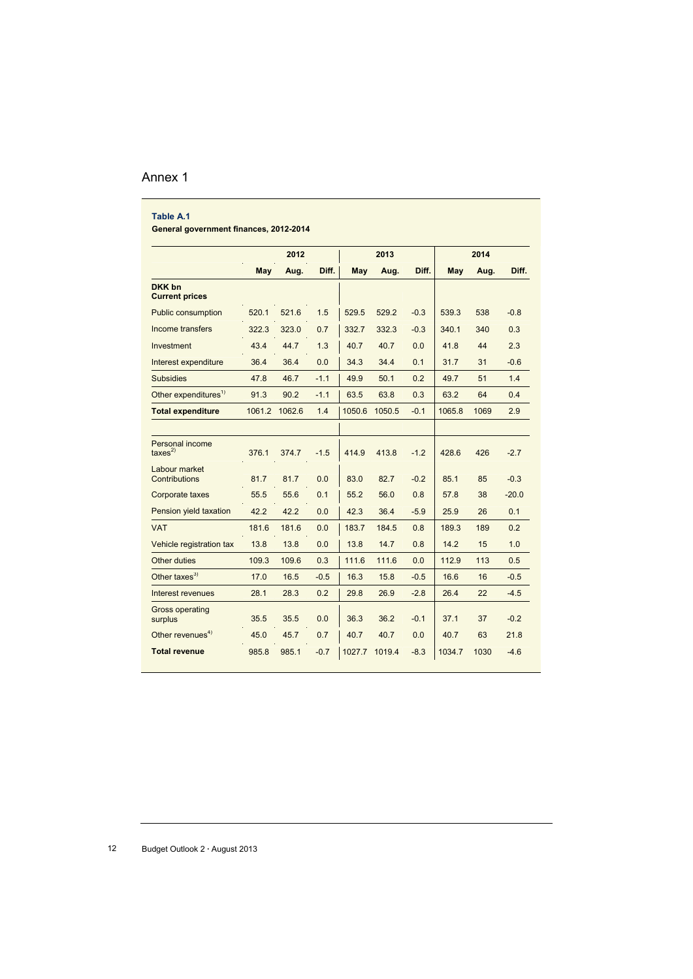### Annex 1

| Table A.1<br>General government finances, 2012-2014 |       |               |        |            |        |        |        |      |         |
|-----------------------------------------------------|-------|---------------|--------|------------|--------|--------|--------|------|---------|
|                                                     |       | 2012          |        |            | 2013   |        | 2014   |      |         |
|                                                     | May   | Aug.          | Diff.  | <b>May</b> | Aug.   | Diff.  | May    | Aug. | Diff.   |
| DKK bn<br><b>Current prices</b>                     |       |               |        |            |        |        |        |      |         |
| <b>Public consumption</b>                           | 520.1 | 521.6         | 1.5    | 529.5      | 529.2  | $-0.3$ | 539.3  | 538  | $-0.8$  |
| Income transfers                                    | 322.3 | 323.0         | 0.7    | 332.7      | 332.3  | $-0.3$ | 340.1  | 340  | 0.3     |
| Investment                                          | 43.4  | 44.7          | 1.3    | 40.7       | 40.7   | 0.0    | 41.8   | 44   | 2.3     |
| Interest expenditure                                | 36.4  | 36.4          | 0.0    | 34.3       | 34.4   | 0.1    | 31.7   | 31   | $-0.6$  |
| <b>Subsidies</b>                                    | 47.8  | 46.7          | $-1.1$ | 49.9       | 50.1   | 0.2    | 49.7   | 51   | 1.4     |
| Other expenditures <sup>1)</sup>                    | 91.3  | 90.2          | $-1.1$ | 63.5       | 63.8   | 0.3    | 63.2   | 64   | 0.4     |
| <b>Total expenditure</b>                            |       | 1061.2 1062.6 | 1.4    | 1050.6     | 1050.5 | $-0.1$ | 1065.8 | 1069 | 2.9     |
|                                                     |       |               |        |            |        |        |        |      |         |
| <b>Personal income</b><br>$\text{taxes}^{2)}$       | 376.1 | 374.7         | $-1.5$ | 414.9      | 413.8  | $-1.2$ | 428.6  | 426  | $-2.7$  |
| Labour market<br>Contributions                      | 81.7  | 81.7          | 0.0    | 83.0       | 82.7   | $-0.2$ | 85.1   | 85   | $-0.3$  |
| <b>Corporate taxes</b>                              | 55.5  | 55.6          | 0.1    | 55.2       | 56.0   | 0.8    | 57.8   | 38   | $-20.0$ |
| Pension yield taxation                              | 42.2  | 42.2          | 0.0    | 42.3       | 36.4   | $-5.9$ | 25.9   | 26   | 0.1     |
| <b>VAT</b>                                          | 181.6 | 181.6         | 0.0    | 183.7      | 184.5  | 0.8    | 189.3  | 189  | 0.2     |
| Vehicle registration tax                            | 13.8  | 13.8          | 0.0    | 13.8       | 14.7   | 0.8    | 14.2   | 15   | 1.0     |
| Other duties                                        | 109.3 | 109.6         | 0.3    | 111.6      | 111.6  | 0.0    | 112.9  | 113  | 0.5     |
| Other taxes $^{3)}$                                 | 17.0  | 16.5          | $-0.5$ | 16.3       | 15.8   | $-0.5$ | 16.6   | 16   | $-0.5$  |
| Interest revenues                                   | 28.1  | 28.3          | 0.2    | 29.8       | 26.9   | $-2.8$ | 26.4   | 22   | $-4.5$  |
| <b>Gross operating</b><br>surplus                   | 35.5  | 35.5          | 0.0    | 36.3       | 36.2   | $-0.1$ | 37.1   | 37   | $-0.2$  |
| Other revenues <sup>4)</sup>                        | 45.0  | 45.7          | 0.7    | 40.7       | 40.7   | 0.0    | 40.7   | 63   | 21.8    |
| <b>Total revenue</b>                                | 985.8 | 985.1         | $-0.7$ | 1027.7     | 1019.4 | $-8.3$ | 1034.7 | 1030 | $-4.6$  |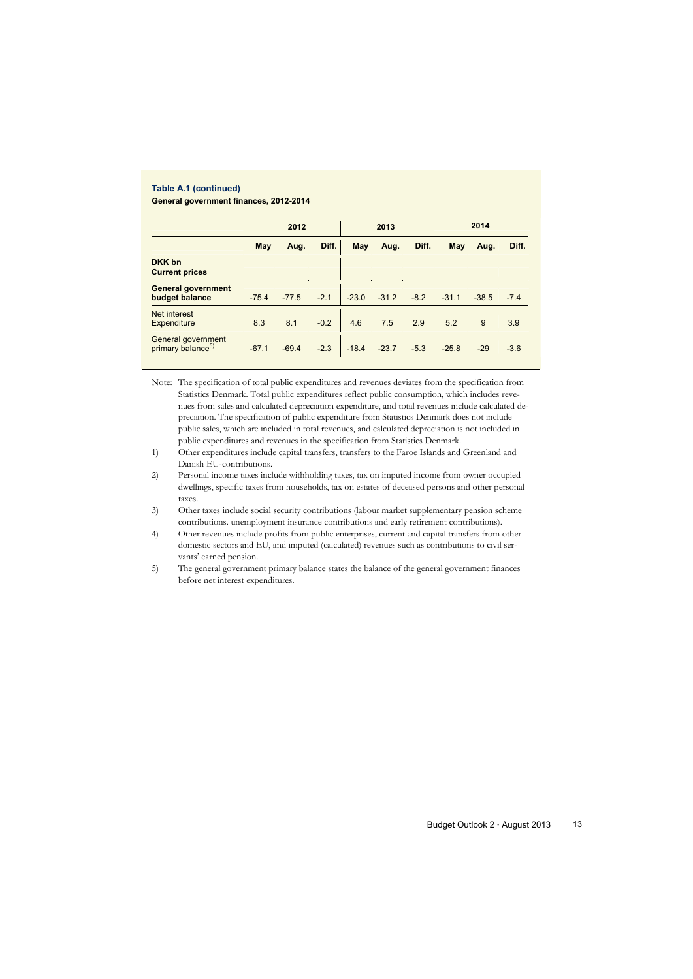#### **Table A.1 (continued) General government finances, 2012-2014**

|                                                     |         | 2012    |        | 2013       |         |        | 2014    |         |        |
|-----------------------------------------------------|---------|---------|--------|------------|---------|--------|---------|---------|--------|
|                                                     | May     | Aug.    | Diff.  | <b>May</b> | Aug.    | Diff.  | May     | Aug.    | Diff.  |
| DKK bn<br><b>Current prices</b>                     |         |         |        |            |         |        |         |         |        |
| <b>General government</b><br>budget balance         | $-75.4$ | $-77.5$ | $-2.1$ | $-23.0$    | $-31.2$ | $-8.2$ | $-31.1$ | $-38.5$ | $-7.4$ |
| Net interest<br><b>Expenditure</b>                  | 8.3     | 8.1     | $-0.2$ | 4.6        | 7.5     | 2.9    | 5.2     | 9       | 3.9    |
| General government<br>primary balance <sup>5)</sup> | $-67.1$ | $-69.4$ | $-2.3$ | $-18.4$    | $-23.7$ | $-5.3$ | $-25.8$ | $-29$   | $-3.6$ |

Note: The specification of total public expenditures and revenues deviates from the specification from Statistics Denmark. Total public expenditures reflect public consumption, which includes revenues from sales and calculated depreciation expenditure, and total revenues include calculated depreciation. The specification of public expenditure from Statistics Denmark does not include public sales, which are included in total revenues, and calculated depreciation is not included in public expenditures and revenues in the specification from Statistics Denmark.

1) Other expenditures include capital transfers, transfers to the Faroe Islands and Greenland and Danish EU-contributions.

2) Personal income taxes include withholding taxes, tax on imputed income from owner occupied dwellings, specific taxes from households, tax on estates of deceased persons and other personal taxes.

3) Other taxes include social security contributions (labour market supplementary pension scheme contributions. unemployment insurance contributions and early retirement contributions).

4) Other revenues include profits from public enterprises, current and capital transfers from other domestic sectors and EU, and imputed (calculated) revenues such as contributions to civil servants' earned pension.

5) The general government primary balance states the balance of the general government finances before net interest expenditures.